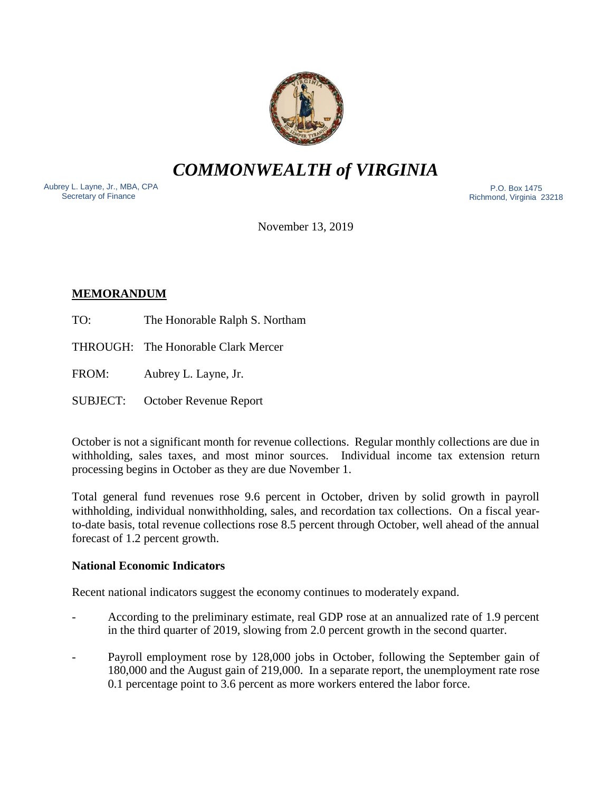

*COMMONWEALTH of VIRGINIA*

Aubrey L. Layne, Jr., MBA, CPA Secretary of Finance

 P.O. Box 1475 Richmond, Virginia 23218

November 13, 2019

# **MEMORANDUM**

- TO: The Honorable Ralph S. Northam
- THROUGH: The Honorable Clark Mercer
- FROM: Aubrey L. Layne, Jr.
- SUBJECT: October Revenue Report

October is not a significant month for revenue collections. Regular monthly collections are due in withholding, sales taxes, and most minor sources. Individual income tax extension return processing begins in October as they are due November 1.

Total general fund revenues rose 9.6 percent in October, driven by solid growth in payroll withholding, individual nonwithholding, sales, and recordation tax collections. On a fiscal yearto-date basis, total revenue collections rose 8.5 percent through October, well ahead of the annual forecast of 1.2 percent growth.

## **National Economic Indicators**

Recent national indicators suggest the economy continues to moderately expand.

- According to the preliminary estimate, real GDP rose at an annualized rate of 1.9 percent in the third quarter of 2019, slowing from 2.0 percent growth in the second quarter.
- Payroll employment rose by 128,000 jobs in October, following the September gain of 180,000 and the August gain of 219,000. In a separate report, the unemployment rate rose 0.1 percentage point to 3.6 percent as more workers entered the labor force.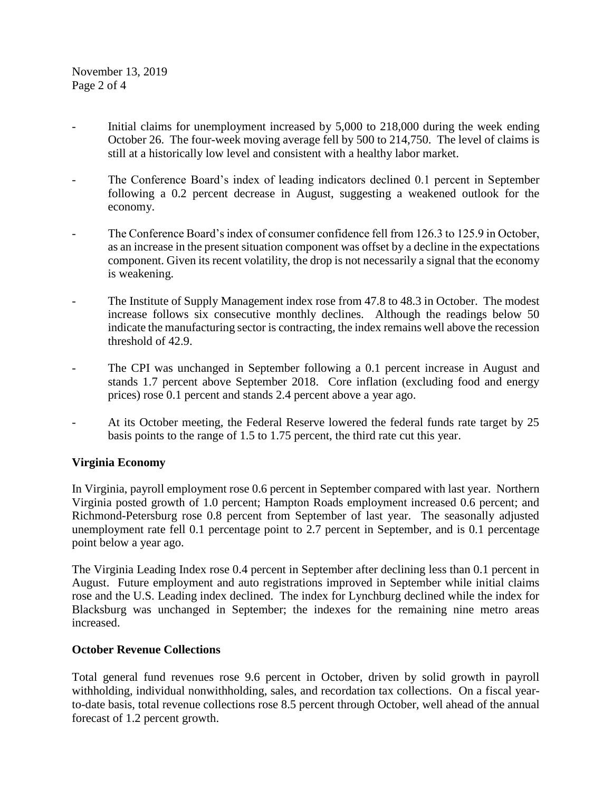- Initial claims for unemployment increased by 5,000 to 218,000 during the week ending October 26. The four-week moving average fell by 500 to 214,750. The level of claims is still at a historically low level and consistent with a healthy labor market.
- The Conference Board's index of leading indicators declined 0.1 percent in September following a 0.2 percent decrease in August, suggesting a weakened outlook for the economy.
- The Conference Board's index of consumer confidence fell from 126.3 to 125.9 in October, as an increase in the present situation component was offset by a decline in the expectations component. Given its recent volatility, the drop is not necessarily a signal that the economy is weakening.
- The Institute of Supply Management index rose from 47.8 to 48.3 in October. The modest increase follows six consecutive monthly declines. Although the readings below 50 indicate the manufacturing sector is contracting, the index remains well above the recession threshold of 42.9.
- The CPI was unchanged in September following a 0.1 percent increase in August and stands 1.7 percent above September 2018. Core inflation (excluding food and energy prices) rose 0.1 percent and stands 2.4 percent above a year ago.
- At its October meeting, the Federal Reserve lowered the federal funds rate target by 25 basis points to the range of 1.5 to 1.75 percent, the third rate cut this year.

# **Virginia Economy**

In Virginia, payroll employment rose 0.6 percent in September compared with last year. Northern Virginia posted growth of 1.0 percent; Hampton Roads employment increased 0.6 percent; and Richmond-Petersburg rose 0.8 percent from September of last year. The seasonally adjusted unemployment rate fell 0.1 percentage point to 2.7 percent in September, and is 0.1 percentage point below a year ago.

The Virginia Leading Index rose 0.4 percent in September after declining less than 0.1 percent in August. Future employment and auto registrations improved in September while initial claims rose and the U.S. Leading index declined. The index for Lynchburg declined while the index for Blacksburg was unchanged in September; the indexes for the remaining nine metro areas increased.

## **October Revenue Collections**

Total general fund revenues rose 9.6 percent in October, driven by solid growth in payroll withholding, individual nonwithholding, sales, and recordation tax collections. On a fiscal yearto-date basis, total revenue collections rose 8.5 percent through October, well ahead of the annual forecast of 1.2 percent growth.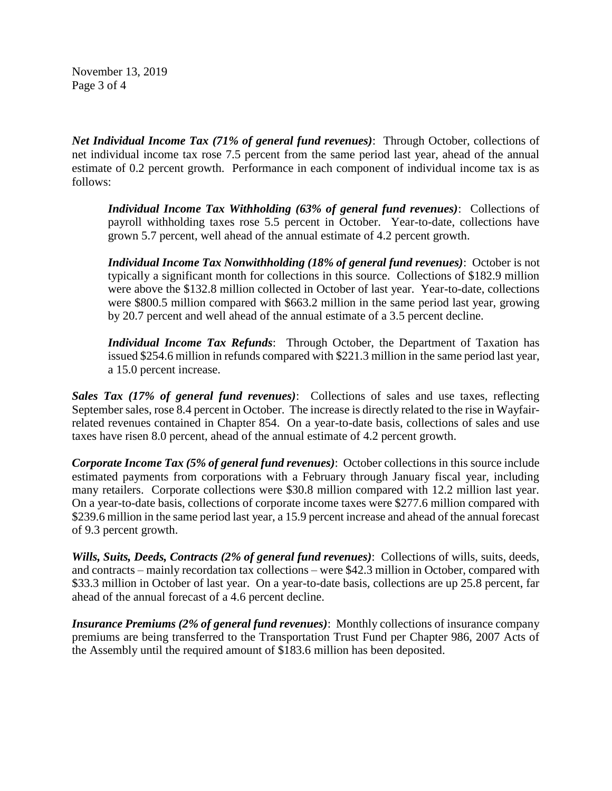November 13, 2019 Page 3 of 4

*Net Individual Income Tax (71% of general fund revenues)*: Through October, collections of net individual income tax rose 7.5 percent from the same period last year, ahead of the annual estimate of 0.2 percent growth. Performance in each component of individual income tax is as follows:

*Individual Income Tax Withholding (63% of general fund revenues)*: Collections of payroll withholding taxes rose 5.5 percent in October. Year-to-date, collections have grown 5.7 percent, well ahead of the annual estimate of 4.2 percent growth.

*Individual Income Tax Nonwithholding (18% of general fund revenues)*: October is not typically a significant month for collections in this source. Collections of \$182.9 million were above the \$132.8 million collected in October of last year. Year-to-date, collections were \$800.5 million compared with \$663.2 million in the same period last year, growing by 20.7 percent and well ahead of the annual estimate of a 3.5 percent decline.

*Individual Income Tax Refunds*: Through October, the Department of Taxation has issued \$254.6 million in refunds compared with \$221.3 million in the same period last year, a 15.0 percent increase.

*Sales Tax (17% of general fund revenues)*: Collections of sales and use taxes, reflecting September sales, rose 8.4 percent in October. The increase is directly related to the rise in Wayfairrelated revenues contained in Chapter 854. On a year-to-date basis, collections of sales and use taxes have risen 8.0 percent, ahead of the annual estimate of 4.2 percent growth.

*Corporate Income Tax (5% of general fund revenues)*: October collections in this source include estimated payments from corporations with a February through January fiscal year, including many retailers. Corporate collections were \$30.8 million compared with 12.2 million last year. On a year-to-date basis, collections of corporate income taxes were \$277.6 million compared with \$239.6 million in the same period last year, a 15.9 percent increase and ahead of the annual forecast of 9.3 percent growth.

*Wills, Suits, Deeds, Contracts (2% of general fund revenues)*: Collections of wills, suits, deeds, and contracts – mainly recordation tax collections – were \$42.3 million in October, compared with \$33.3 million in October of last year. On a year-to-date basis, collections are up 25.8 percent, far ahead of the annual forecast of a 4.6 percent decline.

*Insurance Premiums (2% of general fund revenues)*: Monthly collections of insurance company premiums are being transferred to the Transportation Trust Fund per Chapter 986, 2007 Acts of the Assembly until the required amount of \$183.6 million has been deposited.